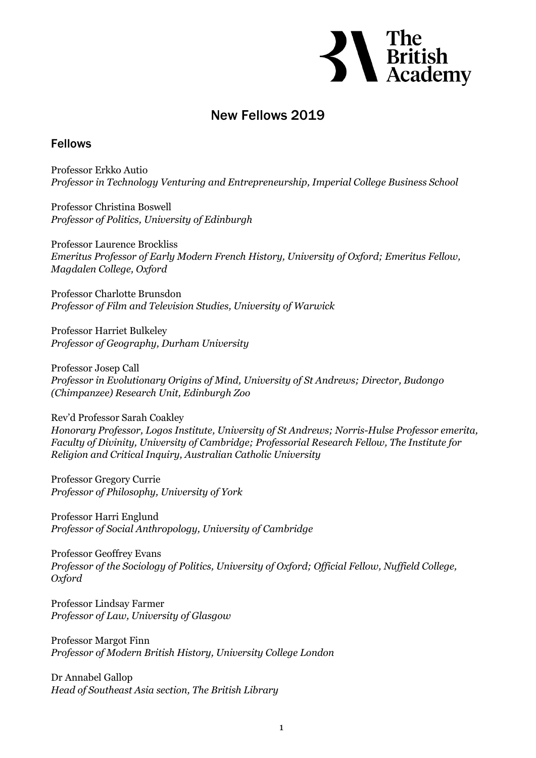**S**<br>
British<br>
Academy

## New Fellows 2019

## Fellows

Professor Erkko Autio *Professor in Technology Venturing and Entrepreneurship, Imperial College Business School*

Professor Christina Boswell *Professor of Politics, University of Edinburgh*

Professor Laurence Brockliss *Emeritus Professor of Early Modern French History, University of Oxford; Emeritus Fellow, Magdalen College, Oxford*

Professor Charlotte Brunsdon *Professor of Film and Television Studies, University of Warwick*

Professor Harriet Bulkeley *Professor of Geography, Durham University*

Professor Josep Call *Professor in Evolutionary Origins of Mind, University of St Andrews; Director, Budongo (Chimpanzee) Research Unit, Edinburgh Zoo*

Rev'd Professor Sarah Coakley *Honorary Professor, Logos Institute, University of St Andrews; Norris-Hulse Professor emerita, Faculty of Divinity, University of Cambridge; Professorial Research Fellow, The Institute for Religion and Critical Inquiry, Australian Catholic University*

Professor Gregory Currie *Professor of Philosophy, University of York*

Professor Harri Englund *Professor of Social Anthropology, University of Cambridge*

Professor Geoffrey Evans *Professor of the Sociology of Politics, University of Oxford; Official Fellow, Nuffield College, Oxford*

Professor Lindsay Farmer *Professor of Law, University of Glasgow*

Professor Margot Finn *Professor of Modern British History, University College London*

Dr Annabel Gallop *Head of Southeast Asia section, The British Library*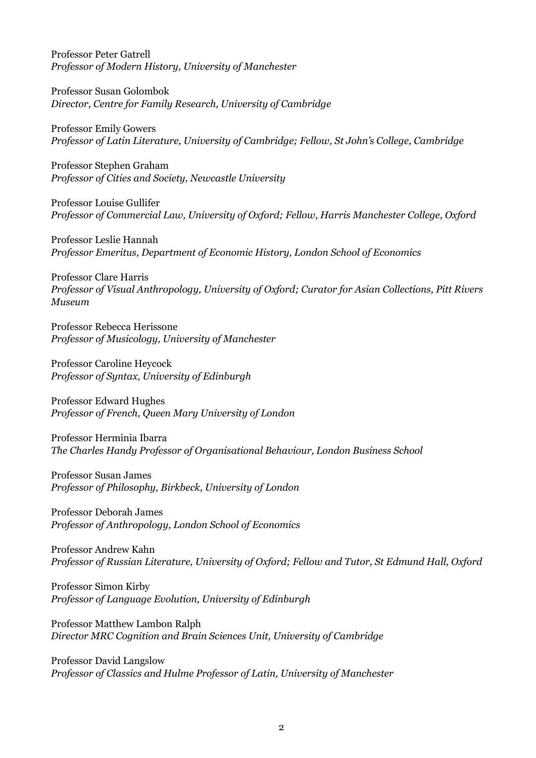Professor Peter Gatrell *Professor of Modern History, University of Manchester*

Professor Susan Golombok *Director, Centre for Family Research, University of Cambridge*

Professor Emily Gowers *Professor of Latin Literature, University of Cambridge; Fellow, St John's College, Cambridge*

Professor Stephen Graham *Professor of Cities and Society, Newcastle University*

Professor Louise Gullifer *Professor of Commercial Law, University of Oxford; Fellow, Harris Manchester College, Oxford*

Professor Leslie Hannah *Professor Emeritus, Department of Economic History, London School of Economics*

Professor Clare Harris *Professor of Visual Anthropology, University of Oxford; Curator for Asian Collections, Pitt Rivers Museum*

Professor Rebecca Herissone *Professor of Musicology, University of Manchester*

Professor Caroline Heycock *Professor of Syntax, University of Edinburgh*

Professor Edward Hughes *Professor of French, Queen Mary University of London*

Professor Herminia Ibarra *The Charles Handy Professor of Organisational Behaviour, London Business School*

Professor Susan James *Professor of Philosophy, Birkbeck, University of London*

Professor Deborah James *Professor of Anthropology, London School of Economics*

Professor Andrew Kahn *Professor of Russian Literature, University of Oxford; Fellow and Tutor, St Edmund Hall, Oxford*

Professor Simon Kirby *Professor of Language Evolution, University of Edinburgh*

Professor Matthew Lambon Ralph *Director MRC Cognition and Brain Sciences Unit, University of Cambridge*

Professor David Langslow *Professor of Classics and Hulme Professor of Latin, University of Manchester*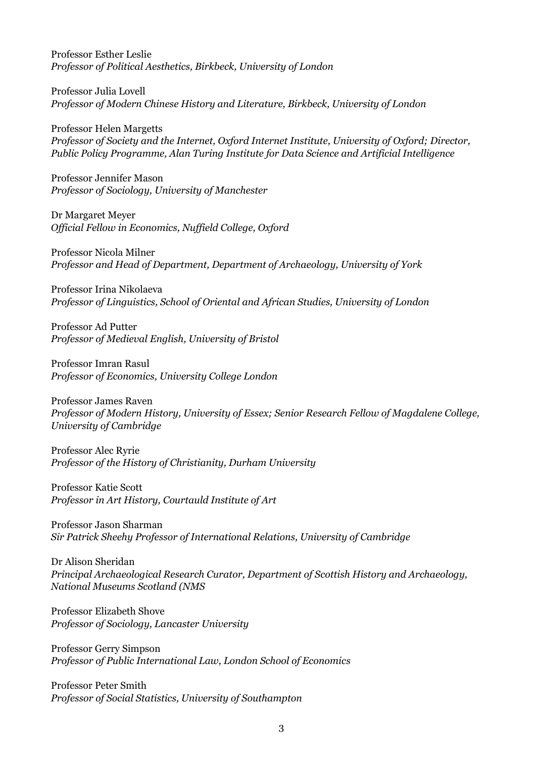Professor Esther Leslie *Professor of Political Aesthetics, Birkbeck, University of London*

Professor Julia Lovell *Professor of Modern Chinese History and Literature, Birkbeck, University of London*

Professor Helen Margetts *Professor of Society and the Internet, Oxford Internet Institute, University of Oxford; Director, Public Policy Programme, Alan Turing Institute for Data Science and Artificial Intelligence*

Professor Jennifer Mason *Professor of Sociology, University of Manchester*

Dr Margaret Meyer *Official Fellow in Economics, Nuffield College, Oxford*

Professor Nicola Milner *Professor and Head of Department, Department of Archaeology, University of York*

Professor Irina Nikolaeva *Professor of Linguistics, School of Oriental and African Studies, University of London*

Professor Ad Putter *Professor of Medieval English, University of Bristol*

Professor Imran Rasul *Professor of Economics, University College London*

Professor James Raven *Professor of Modern History, University of Essex; Senior Research Fellow of Magdalene College, University of Cambridge*

Professor Alec Ryrie *Professor of the History of Christianity, Durham University*

Professor Katie Scott *Professor in Art History, Courtauld Institute of Art*

Professor Jason Sharman *Sir Patrick Sheehy Professor of International Relations, University of Cambridge*

Dr Alison Sheridan *Principal Archaeological Research Curator, Department of Scottish History and Archaeology, National Museums Scotland (NMS*

Professor Elizabeth Shove *Professor of Sociology, Lancaster University*

Professor Gerry Simpson *Professor of Public International Law, London School of Economics*

Professor Peter Smith *Professor of Social Statistics, University of Southampton*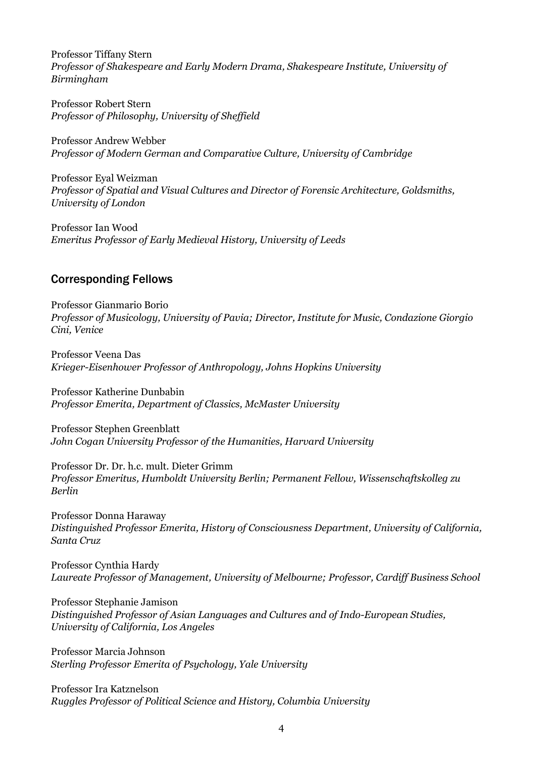Professor Tiffany Stern *Professor of Shakespeare and Early Modern Drama, Shakespeare Institute, University of Birmingham*

Professor Robert Stern *Professor of Philosophy, University of Sheffield*

Professor Andrew Webber *Professor of Modern German and Comparative Culture, University of Cambridge*

Professor Eyal Weizman *Professor of Spatial and Visual Cultures and Director of Forensic Architecture, Goldsmiths, University of London*

Professor Ian Wood *Emeritus Professor of Early Medieval History, University of Leeds*

## Corresponding Fellows

Professor Gianmario Borio *Professor of Musicology, University of Pavia; Director, Institute for Music, Condazione Giorgio Cini, Venice*

Professor Veena Das *Krieger-Eisenhower Professor of Anthropology, Johns Hopkins University*

Professor Katherine Dunbabin *Professor Emerita, Department of Classics, McMaster University*

Professor Stephen Greenblatt *John Cogan University Professor of the Humanities, Harvard University*

Professor Dr. Dr. h.c. mult. Dieter Grimm *Professor Emeritus, Humboldt University Berlin; Permanent Fellow, Wissenschaftskolleg zu Berlin*

Professor Donna Haraway *Distinguished Professor Emerita, History of Consciousness Department, University of California, Santa Cruz*

Professor Cynthia Hardy *Laureate Professor of Management, University of Melbourne; Professor, Cardiff Business School*

Professor Stephanie Jamison *Distinguished Professor of Asian Languages and Cultures and of Indo-European Studies, University of California, Los Angeles*

Professor Marcia Johnson *Sterling Professor Emerita of Psychology, Yale University*

Professor Ira Katznelson *Ruggles Professor of Political Science and History, Columbia University*